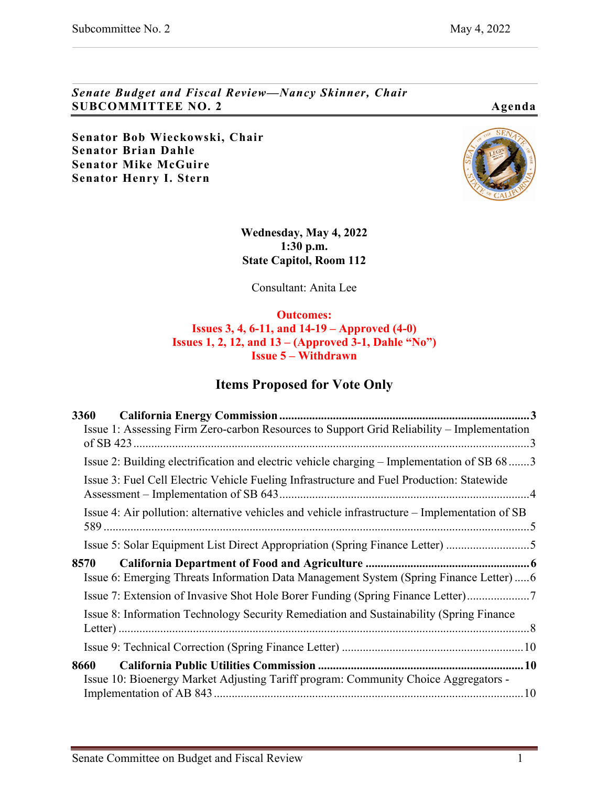*Senate Budget and Fiscal Review—Nancy Skinner, Chair* **SUBCOMMITTEE NO. 2 Agenda** 

**Senator Bob Wieckowski, Chair Senator Brian Dahle Senator Mike McGuire Senator Henry I. Stern**



**Wednesday, May 4, 2022 1:30 p.m. State Capitol, Room 112**

Consultant: Anita Lee

**Outcomes: Issues 3, 4, 6-11, and 14-19 – Approved (4-0) Issues 1, 2, 12, and 13 – (Approved 3-1, Dahle "No") Issue 5 – Withdrawn**

## **Items Proposed for Vote Only**

| Issue 1: Assessing Firm Zero-carbon Resources to Support Grid Reliability - Implementation     |
|------------------------------------------------------------------------------------------------|
| Issue 2: Building electrification and electric vehicle charging – Implementation of SB 683     |
| Issue 3: Fuel Cell Electric Vehicle Fueling Infrastructure and Fuel Production: Statewide      |
| Issue 4: Air pollution: alternative vehicles and vehicle infrastructure – Implementation of SB |
| Issue 5: Solar Equipment List Direct Appropriation (Spring Finance Letter) 5                   |
| Issue 6: Emerging Threats Information Data Management System (Spring Finance Letter)  6        |
| Issue 7: Extension of Invasive Shot Hole Borer Funding (Spring Finance Letter)7                |
| Issue 8: Information Technology Security Remediation and Sustainability (Spring Finance)       |
|                                                                                                |
| Issue 10: Bioenergy Market Adjusting Tariff program: Community Choice Aggregators -            |
|                                                                                                |